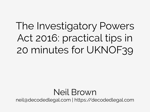#### The Investigatory Powers Act 2016: practical tips in 20 minutes for UKNOF39

#### Neil Brown

neil@decodedlegal.com | https://decodedlegal.com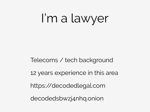I'm a lawyer

#### Telecoms / tech background 12 years experience in this area https://decodedlegal.com decodedsbwzj4nhq.onion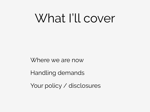### What I'll cover

Where we are now

Handling demands

Your policy / disclosures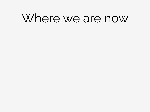#### Where we are now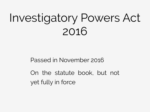## Investigatory Powers Act 2016

Passed in November 2016

On the statute book, but not yet fully in force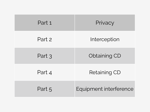| Part 1 | Privacy                |
|--------|------------------------|
| Part 2 | Interception           |
| Part 3 | <b>Obtaining CD</b>    |
| Part 4 | <b>Retaining CD</b>    |
| Part 5 | Equipment interference |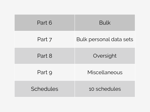| Part 6    | <b>Bulk</b>                    |
|-----------|--------------------------------|
| Part 7    | <b>Bulk personal data sets</b> |
| Part 8    | Oversight                      |
| Part 9    | Miscellaneous                  |
| Schedules | 10 schedules                   |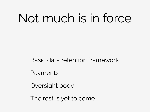## Not much is in force

#### Basic data retention framework

Payments

Oversight body

The rest is yet to come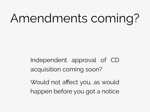## Amendments coming?

Independent approval of CD acquisition coming soon?

Would not affect you, as would happen before you got a notice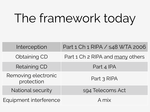## The framework today

| Interception                      | Part 1 Ch 1 RIPA / s48 WTA 2006  |
|-----------------------------------|----------------------------------|
| Obtaining CD                      | Part 1 Ch 2 RIPA and many others |
| <b>Retaining CD</b>               | Part 4 IPA                       |
| Removing electronic<br>protection | Part 3 RIPA                      |
| <b>National security</b>          | s94 Telecoms Act                 |
| Equipment interference            | A mix                            |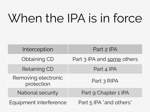## When the IPA is in force

| Interception                      | Part 2 IPA                 |
|-----------------------------------|----------------------------|
| <b>Obtaining CD</b>               | Part 3 IPA and some others |
| <b>Retaining CD</b>               | Part 4 IPA                 |
| Removing electronic<br>protection | Part 3 RIPA                |
| <b>National security</b>          | Part 9 Chapter 1 IPA       |
| Equipment interference            | Part 5 IPA *and others*    |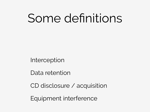## Some definitions

Interception

Data retention

CD disclosure / acquisition

Equipment interference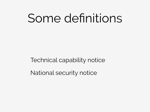## Some definitions

Technical capability notice

National security notice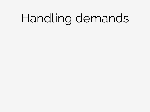## Handling demands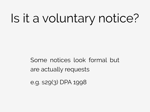## Is it a voluntary notice?

Some notices look formal but are actually requests

e.g. s29(3) DPA 1998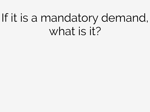## If it is a mandatory demand, what is it?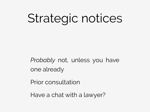## Strategic notices

*Probably* not, unless you have one already

Prior consultation

Have a chat with a lawyer?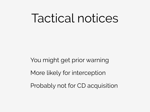#### Tactical notices

You might get prior warning More likely for interception Probably not for CD acquisition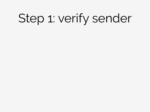## Step 1: verify sender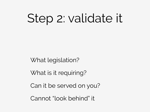## Step 2: validate it

What legislation?

What is it requiring?

Can it be served on you?

Cannot "look behind" it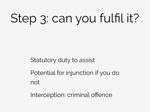# Step 3: can you fulfil it?

Statutory duty to assist

Potential for injunction if you do not

Interception: criminal offence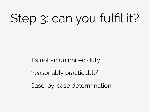# Step 3: can you fulfil it?

It's not an unlimited duty

"reasonably practicable"

Case-by-case determination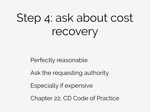## Step 4: ask about cost recovery

Perfectly reasonable

Ask the requesting authority

Especially if expensive

Chapter 22, CD Code of Practice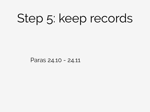## Step 5: keep records

Paras 24.10 - 24.11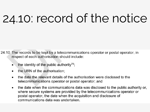## 24.10: record of the notice

24.10 The records to be kept by a telecommunications operator or postal operator, in respect of each authorisation should include:

- the identity of the public authority<sup>76</sup>;
- the URN of the authorisation;
- the date the relevant details of the authorisation were disclosed to the telecommunications operator or postal operator; and
- the date when the communications data was disclosed to the public authority or,  $\bullet$ where secure systems are provided by the telecommunications operator or postal operator, the date when the acquisition and disclosure of communications data was undertaken.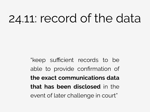## 24.11: record of the data

"keep sufficient records to be able to provide confirmation of **the exact communications data that has been disclosed** in the event of later challenge in court"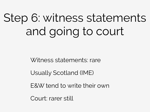## Step 6: witness statements and going to court

Witness statements: rare

Usually Scotland (IME)

E&W tend to write their own

Court: rarer still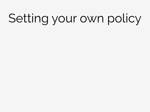## Setting your own policy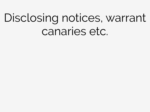## Disclosing notices, warrant canaries etc.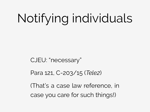# Notifying individuals

#### CJEU: "necessary"

#### Para 121, C-203/15 (*Tele2*)

(That's a case law reference, in case you care for such things!)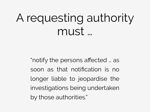## A requesting authority must …

"notify the persons affected … as soon as that notification is no longer liable to jeopardise the investigations being undertaken by those authorities."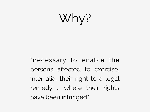Why?

"necessary to enable the persons affected to exercise, inter alia, their right to a legal remedy … where their rights have been infringed"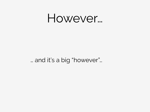#### However…

#### … and it's a big "however"…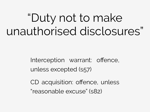## "Duty not to make unauthorised disclosures"

Interception warrant: offence, unless excepted (s57)

CD acquisition: offence, unless "reasonable excuse" (s82)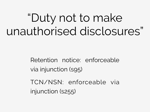## "Duty not to make unauthorised disclosures"

Retention notice: enforceable via injunction (s95)

TCN/NSN: enforceable via injunction (s255)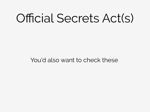## Official Secrets Act(s)

You'd also want to check these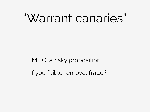### "Warrant canaries"

#### IMHO, a risky proposition If you fail to remove, fraud?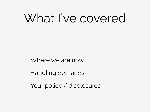## What I've covered

Where we are now

Handling demands

Your policy / disclosures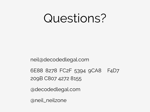#### Questions?

neil@decodedlegal.com

6E88 8278 FC2F 5394 9CA8 F4D7 209B C807 4272 8155

@decodedlegal.com

@neil\_neilzone